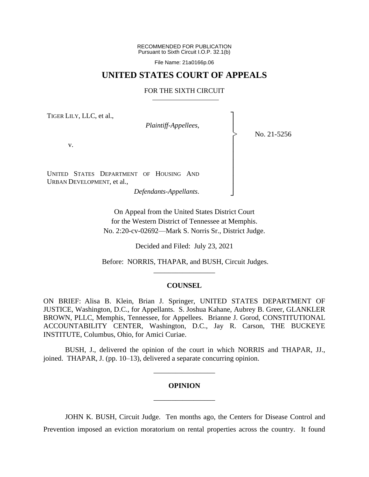RECOMMENDED FOR PUBLICATION Pursuant to Sixth Circuit I.O.P. 32.1(b)

File Name: 21a0166p.06

### **UNITED STATES COURT OF APPEALS**

### FOR THE SIXTH CIRCUIT

TIGER LILY, LLC, et al.,

*Plaintiff-Appellees*,

No. 21-5256

┐ │ │ │ │ │ │ │ │ │ ┘

|<br>|<br>|

v.

UNITED STATES DEPARTMENT OF HOUSING AND URBAN DEVELOPMENT, et al.,

*Defendants-Appellants*.

On Appeal from the United States District Court for the Western District of Tennessee at Memphis. No. 2:20-cv-02692—Mark S. Norris Sr., District Judge.

Decided and Filed: July 23, 2021

Before: NORRIS, THAPAR, and BUSH, Circuit Judges. \_\_\_\_\_\_\_\_\_\_\_\_\_\_\_\_\_

### **COUNSEL**

ON BRIEF: Alisa B. Klein, Brian J. Springer, UNITED STATES DEPARTMENT OF JUSTICE, Washington, D.C., for Appellants. S. Joshua Kahane, Aubrey B. Greer, GLANKLER BROWN, PLLC, Memphis, Tennessee, for Appellees. Brianne J. Gorod, CONSTITUTIONAL ACCOUNTABILITY CENTER, Washington, D.C., Jay R. Carson, THE BUCKEYE INSTITUTE, Columbus, Ohio, for Amici Curiae.

BUSH, J., delivered the opinion of the court in which NORRIS and THAPAR, JJ., joined. THAPAR, J. (pp. 10–13), delivered a separate concurring opinion.

\_\_\_\_\_\_\_\_\_\_\_\_\_\_\_\_\_

# **OPINION** \_\_\_\_\_\_\_\_\_\_\_\_\_\_\_\_\_

JOHN K. BUSH, Circuit Judge. Ten months ago, the Centers for Disease Control and Prevention imposed an eviction moratorium on rental properties across the country. It found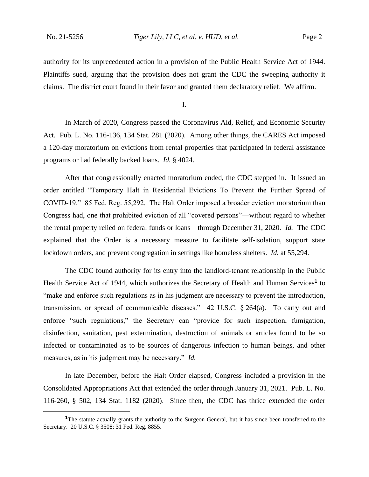authority for its unprecedented action in a provision of the Public Health Service Act of 1944. Plaintiffs sued, arguing that the provision does not grant the CDC the sweeping authority it claims. The district court found in their favor and granted them declaratory relief. We affirm.

I.

In March of 2020, Congress passed the Coronavirus Aid, Relief, and Economic Security Act. Pub. L. No. 116-136, 134 Stat. 281 (2020). Among other things, the CARES Act imposed a 120-day moratorium on evictions from rental properties that participated in federal assistance programs or had federally backed loans. *Id.* § 4024.

After that congressionally enacted moratorium ended, the CDC stepped in. It issued an order entitled "Temporary Halt in Residential Evictions To Prevent the Further Spread of COVID-19." 85 Fed. Reg. 55,292. The Halt Order imposed a broader eviction moratorium than Congress had, one that prohibited eviction of all "covered persons"—without regard to whether the rental property relied on federal funds or loans—through December 31, 2020. *Id.* The CDC explained that the Order is a necessary measure to facilitate self-isolation, support state lockdown orders, and prevent congregation in settings like homeless shelters. *Id.* at 55,294.

The CDC found authority for its entry into the landlord-tenant relationship in the Public Health Service Act of 1944, which authorizes the Secretary of Health and Human Services**<sup>1</sup>** to "make and enforce such regulations as in his judgment are necessary to prevent the introduction, transmission, or spread of communicable diseases."  $42 \text{ U.S.C. }$  \$ 264(a). To carry out and enforce "such regulations," the Secretary can "provide for such inspection, fumigation, disinfection, sanitation, pest extermination, destruction of animals or articles found to be so infected or contaminated as to be sources of dangerous infection to human beings, and other measures, as in his judgment may be necessary." *Id.*

In late December, before the Halt Order elapsed, Congress included a provision in the Consolidated Appropriations Act that extended the order through January 31, 2021. Pub. L. No. 116-260, § 502, 134 Stat. 1182 (2020). Since then, the CDC has thrice extended the order

**<sup>1</sup>**The statute actually grants the authority to the Surgeon General, but it has since been transferred to the Secretary. 20 U.S.C. § 3508; 31 Fed. Reg. 8855.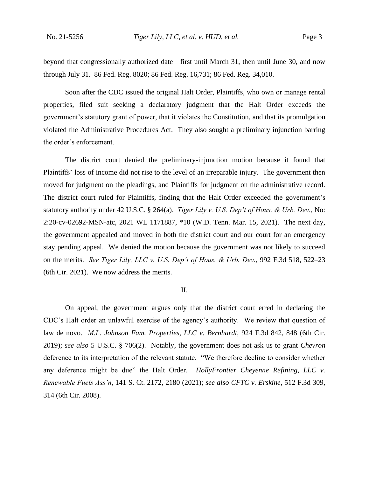beyond that congressionally authorized date—first until March 31, then until June 30, and now through July 31. 86 Fed. Reg. 8020; 86 Fed. Reg. 16,731; 86 Fed. Reg. 34,010.

Soon after the CDC issued the original Halt Order, Plaintiffs, who own or manage rental properties, filed suit seeking a declaratory judgment that the Halt Order exceeds the government's statutory grant of power, that it violates the Constitution, and that its promulgation violated the Administrative Procedures Act. They also sought a preliminary injunction barring the order's enforcement.

The district court denied the preliminary-injunction motion because it found that Plaintiffs' loss of income did not rise to the level of an irreparable injury. The government then moved for judgment on the pleadings, and Plaintiffs for judgment on the administrative record. The district court ruled for Plaintiffs, finding that the Halt Order exceeded the government's statutory authority under 42 U.S.C. § 264(a). *Tiger Lily v. U.S. Dep't of Hous. & Urb. Dev.*, No: 2:20-cv-02692-MSN-atc, 2021 WL 1171887, \*10 (W.D. Tenn. Mar. 15, 2021). The next day, the government appealed and moved in both the district court and our court for an emergency stay pending appeal. We denied the motion because the government was not likely to succeed on the merits. *See Tiger Lily, LLC v. U.S. Dep't of Hous. & Urb. Dev.*, 992 F.3d 518, 522–23 (6th Cir. 2021). We now address the merits.

#### II.

On appeal, the government argues only that the district court erred in declaring the CDC's Halt order an unlawful exercise of the agency's authority. We review that question of law de novo. *M.L. Johnson Fam. Properties, LLC v. Bernhardt*, 924 F.3d 842, 848 (6th Cir. 2019); *see also* 5 U.S.C. § 706(2). Notably, the government does not ask us to grant *Chevron*  deference to its interpretation of the relevant statute. "We therefore decline to consider whether any deference might be due" the Halt Order. *HollyFrontier Cheyenne Refining, LLC v. Renewable Fuels Ass'n*, 141 S. Ct. 2172, 2180 (2021); *see also CFTC v. Erskine*, 512 F.3d 309, 314 (6th Cir. 2008).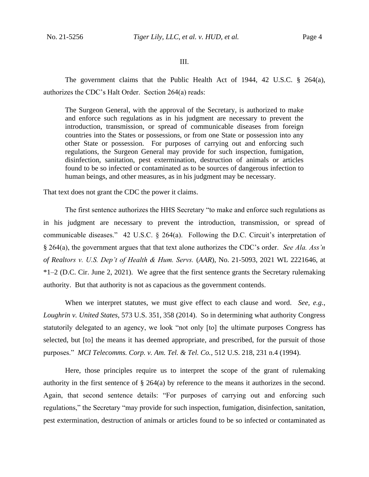### III.

The government claims that the Public Health Act of 1944, 42 U.S.C.  $\S$  264(a), authorizes the CDC's Halt Order. Section 264(a) reads:

The Surgeon General, with the approval of the Secretary, is authorized to make and enforce such regulations as in his judgment are necessary to prevent the introduction, transmission, or spread of communicable diseases from foreign countries into the States or possessions, or from one State or possession into any other State or possession. For purposes of carrying out and enforcing such regulations, the Surgeon General may provide for such inspection, fumigation, disinfection, sanitation, pest extermination, destruction of animals or articles found to be so infected or contaminated as to be sources of dangerous infection to human beings, and other measures, as in his judgment may be necessary.

That text does not grant the CDC the power it claims.

The first sentence authorizes the HHS Secretary "to make and enforce such regulations as in his judgment are necessary to prevent the introduction, transmission, or spread of communicable diseases." 42 U.S.C. § 264(a). Following the D.C. Circuit's interpretation of § 264(a), the government argues that that text alone authorizes the CDC's order. *See Ala. Ass'n of Realtors v. U.S. Dep't of Health & Hum. Servs.* (*AAR*), No. 21-5093, 2021 WL 2221646, at \*1–2 (D.C. Cir. June 2, 2021). We agree that the first sentence grants the Secretary rulemaking authority. But that authority is not as capacious as the government contends.

When we interpret statutes, we must give effect to each clause and word. *See, e.g.*, *Loughrin v. United States*, 573 U.S. 351, 358 (2014). So in determining what authority Congress statutorily delegated to an agency, we look "not only [to] the ultimate purposes Congress has selected, but [to] the means it has deemed appropriate, and prescribed, for the pursuit of those purposes." *MCI Telecomms. Corp. v. Am. Tel. & Tel. Co.*, 512 U.S. 218, 231 n.4 (1994).

Here, those principles require us to interpret the scope of the grant of rulemaking authority in the first sentence of  $\S$  264(a) by reference to the means it authorizes in the second. Again, that second sentence details: "For purposes of carrying out and enforcing such regulations," the Secretary "may provide for such inspection, fumigation, disinfection, sanitation, pest extermination, destruction of animals or articles found to be so infected or contaminated as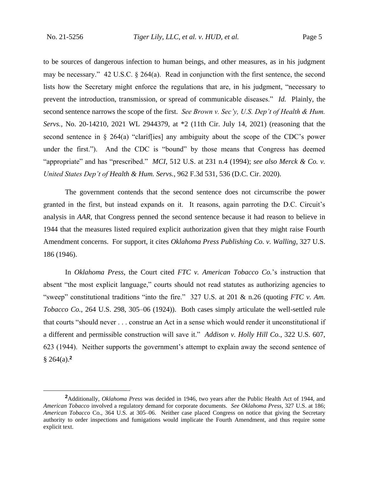to be sources of dangerous infection to human beings, and other measures, as in his judgment may be necessary." 42 U.S.C. § 264(a). Read in conjunction with the first sentence, the second lists how the Secretary might enforce the regulations that are, in his judgment, "necessary to prevent the introduction, transmission, or spread of communicable diseases." *Id.* Plainly, the second sentence narrows the scope of the first. *See Brown v. Sec'y, U.S. Dep't of Health & Hum. Servs.*, No. 20-14210, 2021 WL 2944379, at \*2 (11th Cir. July 14, 2021) (reasoning that the second sentence in  $\S 264(a)$  "clariffies] any ambiguity about the scope of the CDC's power under the first."). And the CDC is "bound" by those means that Congress has deemed "appropriate" and has "prescribed." *MCI*, 512 U.S. at 231 n.4 (1994); *see also Merck & Co. v. United States Dep't of Health & Hum. Servs.*, 962 F.3d 531, 536 (D.C. Cir. 2020).

The government contends that the second sentence does not circumscribe the power granted in the first, but instead expands on it. It reasons, again parroting the D.C. Circuit's analysis in *AAR*, that Congress penned the second sentence because it had reason to believe in 1944 that the measures listed required explicit authorization given that they might raise Fourth Amendment concerns. For support, it cites *Oklahoma Press Publishing Co. v. Walling*, 327 U.S. 186 (1946).

In *Oklahoma Press*, the Court cited *FTC v. American Tobacco Co.*'s instruction that absent "the most explicit language," courts should not read statutes as authorizing agencies to "sweep" constitutional traditions "into the fire." 327 U.S. at 201 & n.26 (quoting *FTC v. Am. Tobacco Co.*, 264 U.S. 298, 305–06 (1924)). Both cases simply articulate the well-settled rule that courts "should never . . . construe an Act in a sense which would render it unconstitutional if a different and permissible construction will save it." *Addison v. Holly Hill Co.*, 322 U.S. 607, 623 (1944). Neither supports the government's attempt to explain away the second sentence of § 264(a).**<sup>2</sup>**

**<sup>2</sup>**Additionally, *Oklahoma Press* was decided in 1946, two years after the Public Health Act of 1944, and *American Tobacco* involved a regulatory demand for corporate documents. *See Oklahoma Press*, 327 U.S. at 186; *American Tobacco* Co., 364 U.S. at 305–06. Neither case placed Congress on notice that giving the Secretary authority to order inspections and fumigations would implicate the Fourth Amendment, and thus require some explicit text.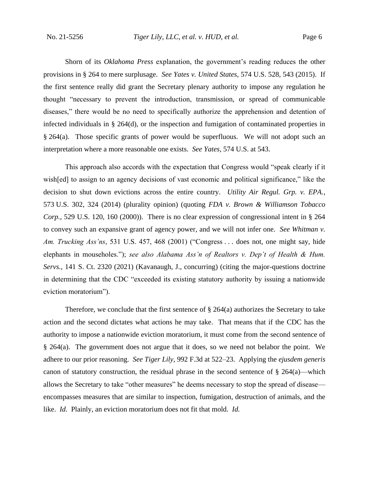Shorn of its *Oklahoma Press* explanation, the government's reading reduces the other provisions in § 264 to mere surplusage. *See Yates v. United States*, 574 U.S. 528, 543 (2015). If the first sentence really did grant the Secretary plenary authority to impose any regulation he thought "necessary to prevent the introduction, transmission, or spread of communicable diseases," there would be no need to specifically authorize the apprehension and detention of infected individuals in § 264(d), or the inspection and fumigation of contaminated properties in § 264(a). Those specific grants of power would be superfluous. We will not adopt such an interpretation where a more reasonable one exists. *See Yates*, 574 U.S. at 543.

This approach also accords with the expectation that Congress would "speak clearly if it wish [ed] to assign to an agency decisions of vast economic and political significance," like the decision to shut down evictions across the entire country. *Utility Air Regul. Grp. v. EPA.*, 573 U.S. 302, 324 (2014) (plurality opinion) (quoting *FDA v. Brown & Williamson Tobacco Corp.*, 529 U.S. 120, 160 (2000)). There is no clear expression of congressional intent in § 264 to convey such an expansive grant of agency power, and we will not infer one. *See Whitman v. Am. Trucking Ass'ns*, 531 U.S. 457, 468 (2001) ("Congress . . . does not, one might say, hide elephants in mouseholes."); *see also Alabama Ass'n of Realtors v. Dep't of Health & Hum. Servs.*, 141 S. Ct. 2320 (2021) (Kavanaugh, J., concurring) (citing the major-questions doctrine in determining that the CDC "exceeded its existing statutory authority by issuing a nationwide eviction moratorium").

Therefore, we conclude that the first sentence of  $\S 264(a)$  authorizes the Secretary to take action and the second dictates what actions he may take. That means that if the CDC has the authority to impose a nationwide eviction moratorium, it must come from the second sentence of § 264(a). The government does not argue that it does, so we need not belabor the point. We adhere to our prior reasoning. *See Tiger Lily*, 992 F.3d at 522–23. Applying the *ejusdem generis*  canon of statutory construction, the residual phrase in the second sentence of  $\S 264(a)$ —which allows the Secretary to take "other measures" he deems necessary to stop the spread of disease encompasses measures that are similar to inspection, fumigation, destruction of animals, and the like. *Id.* Plainly, an eviction moratorium does not fit that mold. *Id.*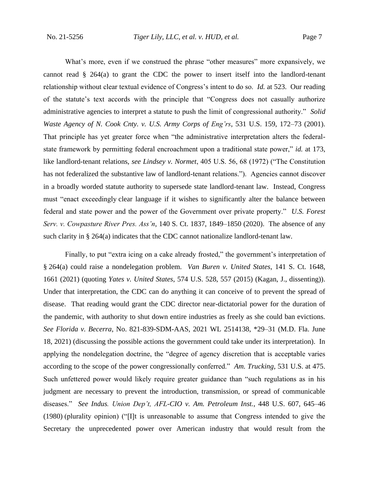What's more, even if we construed the phrase "other measures" more expansively, we cannot read  $\S$  264(a) to grant the CDC the power to insert itself into the landlord-tenant relationship without clear textual evidence of Congress's intent to do so. *Id.* at 523. Our reading of the statute's text accords with the principle that "Congress does not casually authorize administrative agencies to interpret a statute to push the limit of congressional authority." *Solid Waste Agency of N. Cook Cnty. v. U.S. Army Corps of Eng'rs*, 531 U.S. 159, 172–73 (2001). That principle has yet greater force when "the administrative interpretation alters the federalstate framework by permitting federal encroachment upon a traditional state power," *id.* at 173, like landlord-tenant relations, *see Lindsey v. Normet*, 405 U.S. 56, 68 (1972) ("The Constitution has not federalized the substantive law of landlord-tenant relations."). Agencies cannot discover in a broadly worded statute authority to supersede state landlord-tenant law. Instead, Congress must "enact exceedingly clear language if it wishes to significantly alter the balance between federal and state power and the power of the Government over private property." *U.S. Forest Serv. v. Cowpasture River Pres. Ass'n*, 140 S. Ct. 1837, 1849–1850 (2020). The absence of any such clarity in § 264(a) indicates that the CDC cannot nationalize landlord-tenant law.

Finally, to put "extra icing on a cake already frosted," the government's interpretation of § 264(a) could raise a nondelegation problem. *Van Buren v. United States*, 141 S. Ct. 1648, 1661 (2021) (quoting *Yates v. United States*, 574 U.S. 528, 557 (2015) (Kagan, J., dissenting)). Under that interpretation, the CDC can do anything it can conceive of to prevent the spread of disease. That reading would grant the CDC director near-dictatorial power for the duration of the pandemic, with authority to shut down entire industries as freely as she could ban evictions. *See Florida v. Becerra*, No. 821-839-SDM-AAS, 2021 WL 2514138, \*29–31 (M.D. Fla. June 18, 2021) (discussing the possible actions the government could take under its interpretation). In applying the nondelegation doctrine, the "degree of agency discretion that is acceptable varies according to the scope of the power congressionally conferred." *Am. Trucking*, 531 U.S. at 475. Such unfettered power would likely require greater guidance than "such regulations as in his judgment are necessary to prevent the introduction, transmission, or spread of communicable diseases." *See Indus. Union Dep't, AFL-CIO v. Am. Petroleum Inst.*, 448 U.S. 607, 645–46 (1980) (plurality opinion) ("[I]t is unreasonable to assume that Congress intended to give the Secretary the unprecedented power over American industry that would result from the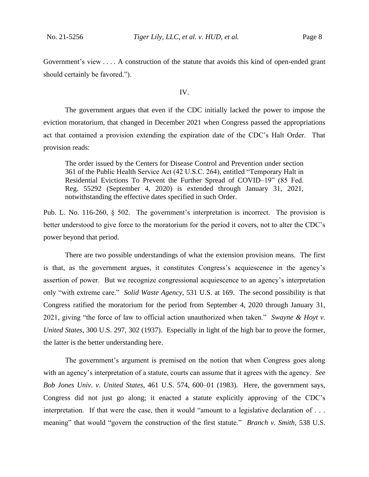Government's view . . . . A construction of the statute that avoids this kind of open-ended grant should certainly be favored.").

IV.

The government argues that even if the CDC initially lacked the power to impose the eviction moratorium, that changed in December 2021 when Congress passed the appropriations act that contained a provision extending the expiration date of the CDC's Halt Order. That provision reads:

The order issued by the Centers for Disease Control and Prevention under section 361 of the Public Health Service Act (42 U.S.C. 264), entitled "Temporary Halt in Residential Evictions To Prevent the Further Spread of COVID–19" (85 Fed. Reg. 55292 (September 4, 2020) is extended through January 31, 2021, notwithstanding the effective dates specified in such Order.

Pub. L. No. 116-260, § 502. The government's interpretation is incorrect. The provision is better understood to give force to the moratorium for the period it covers, not to alter the CDC's power beyond that period.

There are two possible understandings of what the extension provision means. The first is that, as the government argues, it constitutes Congress's acquiescence in the agency's assertion of power. But we recognize congressional acquiescence to an agency's interpretation only "with extreme care." *Solid Waste Agency*, 531 U.S. at 169. The second possibility is that Congress ratified the moratorium for the period from September 4, 2020 through January 31, 2021, giving "the force of law to official action unauthorized when taken." *Swayne & Hoyt v. United States*, 300 U.S. 297, 302 (1937). Especially in light of the high bar to prove the former, the latter is the better understanding here.

The government's argument is premised on the notion that when Congress goes along with an agency's interpretation of a statute, courts can assume that it agrees with the agency. *See Bob Jones Univ. v. United States*, 461 U.S. 574, 600–01 (1983). Here, the government says, Congress did not just go along; it enacted a statute explicitly approving of the CDC's interpretation. If that were the case, then it would "amount to a legislative declaration of . . . meaning" that would "govern the construction of the first statute." *Branch v. Smith*, 538 U.S.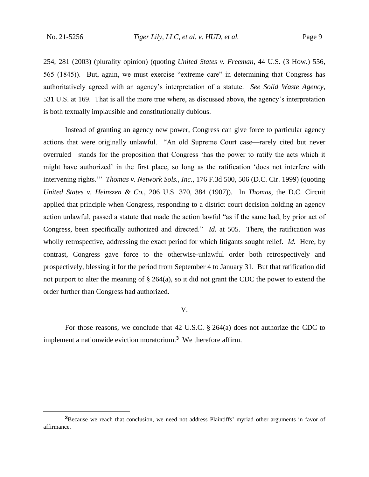254, 281 (2003) (plurality opinion) (quoting *United States v. Freeman*, 44 U.S. (3 How.) 556, 565 (1845)). But, again, we must exercise "extreme care" in determining that Congress has authoritatively agreed with an agency's interpretation of a statute. *See Solid Waste Agency*, 531 U.S. at 169. That is all the more true where, as discussed above, the agency's interpretation is both textually implausible and constitutionally dubious.

Instead of granting an agency new power, Congress can give force to particular agency actions that were originally unlawful. "An old Supreme Court case—rarely cited but never overruled—stands for the proposition that Congress 'has the power to ratify the acts which it might have authorized' in the first place, so long as the ratification 'does not interfere with intervening rights.'" *Thomas v. Network Sols., Inc.*, 176 F.3d 500, 506 (D.C. Cir. 1999) (quoting *United States v. Heinszen & Co.*, 206 U.S. 370, 384 (1907)). In *Thomas*, the D.C. Circuit applied that principle when Congress, responding to a district court decision holding an agency action unlawful, passed a statute that made the action lawful "as if the same had, by prior act of Congress, been specifically authorized and directed." *Id.* at 505. There, the ratification was wholly retrospective, addressing the exact period for which litigants sought relief. *Id.* Here, by contrast, Congress gave force to the otherwise-unlawful order both retrospectively and prospectively, blessing it for the period from September 4 to January 31. But that ratification did not purport to alter the meaning of § 264(a), so it did not grant the CDC the power to extend the order further than Congress had authorized.

V.

For those reasons, we conclude that 42 U.S.C. § 264(a) does not authorize the CDC to implement a nationwide eviction moratorium.**<sup>3</sup>** We therefore affirm.

**<sup>3</sup>**Because we reach that conclusion, we need not address Plaintiffs' myriad other arguments in favor of affirmance.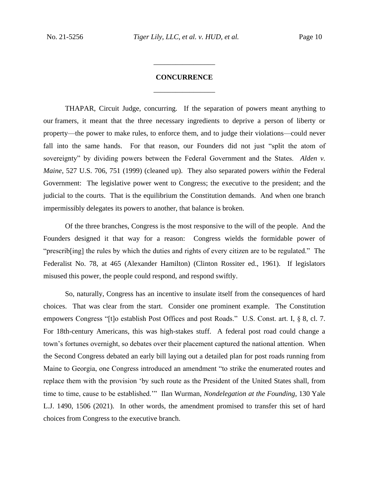## **CONCURRENCE** \_\_\_\_\_\_\_\_\_\_\_\_\_\_\_\_\_

\_\_\_\_\_\_\_\_\_\_\_\_\_\_\_\_\_

THAPAR, Circuit Judge, concurring.If the separation of powers meant anything to our framers, it meant that the three necessary ingredients to deprive a person of liberty or property—the power to make rules, to enforce them, and to judge their violations—could never fall into the same hands. For that reason, our Founders did not just "split the atom of sovereignty" by dividing powers between the Federal Government and the States. *Alden v. Maine*, 527 U.S. 706, 751 (1999) (cleaned up). They also separated powers *within* the Federal Government: The legislative power went to Congress; the executive to the president; and the judicial to the courts. That is the equilibrium the Constitution demands. And when one branch impermissibly delegates its powers to another, that balance is broken.

Of the three branches, Congress is the most responsive to the will of the people. And the Founders designed it that way for a reason: Congress wields the formidable power of "prescrib[ing] the rules by which the duties and rights of every citizen are to be regulated." The Federalist No. 78, at 465 (Alexander Hamilton) (Clinton Rossiter ed., 1961). If legislators misused this power, the people could respond, and respond swiftly.

So, naturally, Congress has an incentive to insulate itself from the consequences of hard choices. That was clear from the start. Consider one prominent example. The Constitution empowers Congress "[t]o establish Post Offices and post Roads." U.S. Const. art. I, § 8, cl. 7. For 18th-century Americans, this was high-stakes stuff. A federal post road could change a town's fortunes overnight, so debates over their placement captured the national attention. When the Second Congress debated an early bill laying out a detailed plan for post roads running from Maine to Georgia, one Congress introduced an amendment "to strike the enumerated routes and replace them with the provision 'by such route as the President of the United States shall, from time to time, cause to be established.'" Ilan Wurman, *Nondelegation at the Founding*, 130 Yale L.J. 1490, 1506 (2021).In other words, the amendment promised to transfer this set of hard choices from Congress to the executive branch.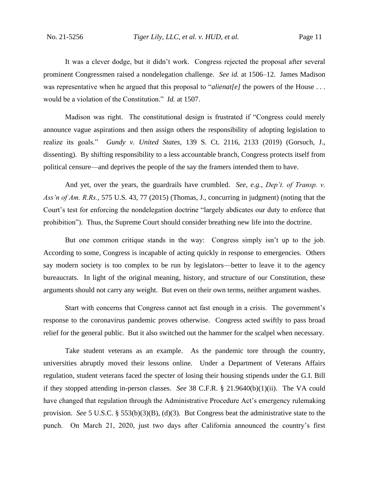It was a clever dodge, but it didn't work. Congress rejected the proposal after several prominent Congressmen raised a nondelegation challenge. *See id.* at 1506–12.James Madison was representative when he argued that this proposal to "*alienat[e]* the powers of the House . . . would be a violation of the Constitution." *Id.* at 1507.

Madison was right. The constitutional design is frustrated if "Congress could merely announce vague aspirations and then assign others the responsibility of adopting legislation to realize its goals." *Gundy v. United States*, 139 S. Ct. 2116, 2133 (2019) (Gorsuch, J., dissenting). By shifting responsibility to a less accountable branch, Congress protects itself from political censure—and deprives the people of the say the framers intended them to have.

And yet, over the years, the guardrails have crumbled. *See, e.g.*, *Dep't. of Transp. v. Ass'n of Am. R.Rs.*, 575 U.S. 43, 77 (2015) (Thomas, J., concurring in judgment) (noting that the Court's test for enforcing the nondelegation doctrine "largely abdicates our duty to enforce that prohibition"). Thus, the Supreme Court should consider breathing new life into the doctrine.

But one common critique stands in the way: Congress simply isn't up to the job. According to some, Congress is incapable of acting quickly in response to emergencies. Others say modern society is too complex to be run by legislators—better to leave it to the agency bureaucrats. In light of the original meaning, history, and structure of our Constitution, these arguments should not carry any weight. But even on their own terms, neither argument washes.

Start with concerns that Congress cannot act fast enough in a crisis. The government's response to the coronavirus pandemic proves otherwise. Congress acted swiftly to pass broad relief for the general public. But it also switched out the hammer for the scalpel when necessary.

Take student veterans as an example. As the pandemic tore through the country, universities abruptly moved their lessons online. Under a Department of Veterans Affairs regulation, student veterans faced the specter of losing their housing stipends under the G.I. Bill if they stopped attending in-person classes. *See* 38 C.F.R. § 21.9640(b)(1)(ii). The VA could have changed that regulation through the Administrative Procedure Act's emergency rulemaking provision. *See* 5 U.S.C. § 553(b)(3)(B), (d)(3). But Congress beat the administrative state to the punch. On March 21, 2020, just two days after California announced the country's first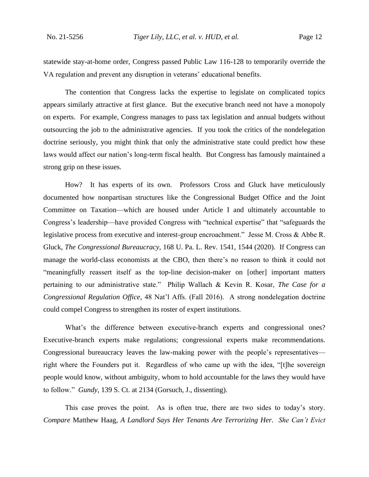statewide stay-at-home order, Congress passed Public Law 116-128 to temporarily override the VA regulation and prevent any disruption in veterans' educational benefits.

The contention that Congress lacks the expertise to legislate on complicated topics appears similarly attractive at first glance. But the executive branch need not have a monopoly on experts. For example, Congress manages to pass tax legislation and annual budgets without outsourcing the job to the administrative agencies. If you took the critics of the nondelegation doctrine seriously, you might think that only the administrative state could predict how these laws would affect our nation's long-term fiscal health. But Congress has famously maintained a strong grip on these issues.

How? It has experts of its own. Professors Cross and Gluck have meticulously documented how nonpartisan structures like the Congressional Budget Office and the Joint Committee on Taxation—which are housed under Article I and ultimately accountable to Congress's leadership—have provided Congress with "technical expertise" that "safeguards the legislative process from executive and interest-group encroachment." Jesse M. Cross & Abbe R. Gluck, *The Congressional Bureaucracy*, 168 U. Pa. L. Rev. 1541, 1544 (2020). If Congress can manage the world-class economists at the CBO, then there's no reason to think it could not "meaningfully reassert itself as the top-line decision-maker on [other] important matters pertaining to our administrative state." Philip Wallach & Kevin R. Kosar, *The Case for a Congressional Regulation Office*, 48 Nat'l Affs. (Fall 2016). A strong nondelegation doctrine could compel Congress to strengthen its roster of expert institutions.

What's the difference between executive-branch experts and congressional ones? Executive-branch experts make regulations; congressional experts make recommendations. Congressional bureaucracy leaves the law-making power with the people's representatives right where the Founders put it. Regardless of who came up with the idea, "[t]he sovereign people would know, without ambiguity, whom to hold accountable for the laws they would have to follow." *Gundy*, 139 S. Ct. at 2134 (Gorsuch, J., dissenting).

This case proves the point. As is often true, there are two sides to today's story. *Compare* Matthew Haag, *A Landlord Says Her Tenants Are Terrorizing Her*. *She Can't Evict*